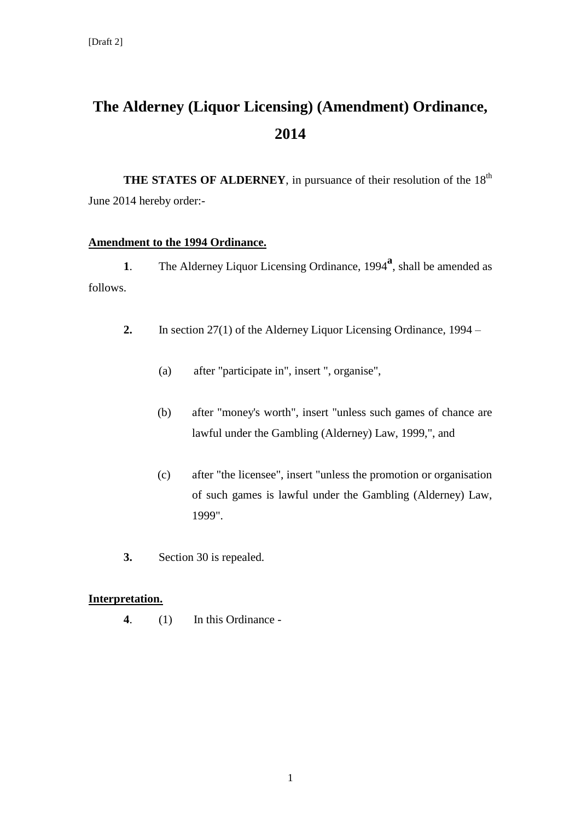## **The Alderney (Liquor Licensing) (Amendment) Ordinance, 2014**

**THE STATES OF ALDERNEY**, in pursuance of their resolution of the 18<sup>th</sup> June 2014 hereby order:-

## **Amendment to the 1994 Ordinance.**

1. The Alderney Liquor Licensing Ordinance, 1994<sup>a</sup>, shall be amended as follows.

- **2.** In section 27(1) of the Alderney Liquor Licensing Ordinance, 1994
	- (a) after "participate in", insert ", organise",
	- (b) after "money's worth", insert "unless such games of chance are lawful under the Gambling (Alderney) Law, 1999,", and
	- (c) after "the licensee", insert "unless the promotion or organisation of such games is lawful under the Gambling (Alderney) Law, 1999".
- **3.** Section 30 is repealed.

## **Interpretation.**

**4**. (1) In this Ordinance -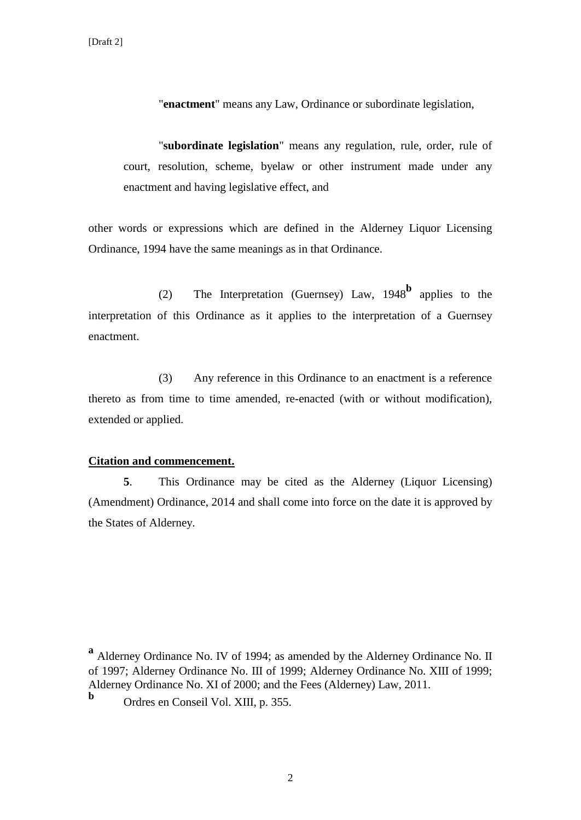"**enactment**" means any Law, Ordinance or subordinate legislation,

"**subordinate legislation**" means any regulation, rule, order, rule of court, resolution, scheme, byelaw or other instrument made under any enactment and having legislative effect, and

other words or expressions which are defined in the Alderney Liquor Licensing Ordinance, 1994 have the same meanings as in that Ordinance.

(2) The Interpretation (Guernsey) Law, 1948**<sup>b</sup>** applies to the interpretation of this Ordinance as it applies to the interpretation of a Guernsey enactment.

(3) Any reference in this Ordinance to an enactment is a reference thereto as from time to time amended, re-enacted (with or without modification), extended or applied.

## **Citation and commencement.**

**5**. This Ordinance may be cited as the Alderney (Liquor Licensing) (Amendment) Ordinance, 2014 and shall come into force on the date it is approved by the States of Alderney.

**a** Alderney Ordinance No. IV of 1994; as amended by the Alderney Ordinance No. II of 1997; Alderney Ordinance No. III of 1999; Alderney Ordinance No. XIII of 1999; Alderney Ordinance No. XI of 2000; and the Fees (Alderney) Law, 2011. **b**

Ordres en Conseil Vol. XIII, p. 355.